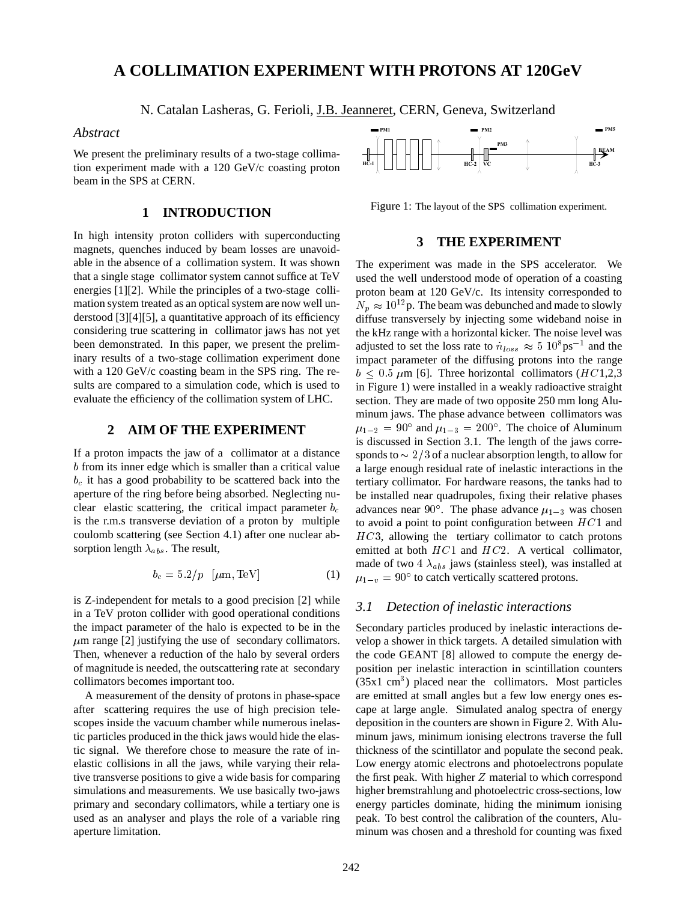# **A COLLIMATION EXPERIMENT WITH PROTONS AT 120GeV**

N. Catalan Lasheras, G. Ferioli, J.B. Jeanneret, CERN, Geneva, Switzerland

#### *Abstract*

We present the preliminary results of a two-stage collimation experiment made with a 120 GeV/c coasting proton beam in the SPS at CERN.

# **1 INTRODUCTION**

In high intensity proton colliders with superconducting magnets, quenches induced by beam losses are unavoidable in the absence of a collimation system. It was shown that a single stage collimator system cannot suffice at TeV energies [1][2]. While the principles of a two-stage collimation system treated as an optical system are now well understood [3][4][5], a quantitative approach of its efficiency considering true scattering in collimator jaws has not yet been demonstrated. In this paper, we present the preliminary results of a two-stage collimation experiment done with a 120 GeV/c coasting beam in the SPS ring. The results are compared to a simulation code, which is used to evaluate the efficiency of the collimation system of LHC.

## **2 AIM OF THE EXPERIMENT**

If a proton impacts the jaw of a collimator at a distance <sup>b</sup> from its inner edge which is smaller than a critical value  $b<sub>c</sub>$  it has a good probability to be scattered back into the aperture of the ring before being absorbed. Neglecting nuclear elastic scattering, the critical impact parameter  $b_c$ is the r.m.s transverse deviation of a proton by multiple coulomb scattering (see Section 4.1) after one nuclear absorption length  $\lambda_{abs}$ . The result,

$$
b_c = 5.2/p \quad [\mu \text{m}, \text{TeV}] \tag{1}
$$

is Z-independent for metals to a good precision [2] while in a TeV proton collider with good operational conditions the impact parameter of the halo is expected to be in the  $\mu$ m range [2] justifying the use of secondary collimators. Then, whenever a reduction of the halo by several orders of magnitude is needed, the outscattering rate at secondary collimators becomes important too.

A measurement of the density of protons in phase-space after scattering requires the use of high precision telescopes inside the vacuum chamber while numerous inelastic particles produced in the thick jaws would hide the elastic signal. We therefore chose to measure the rate of inelastic collisions in all the jaws, while varying their relative transverse positions to give a wide basis for comparing simulations and measurements. We use basically two-jaws primary and secondary collimators, while a tertiary one is used as an analyser and plays the role of a variable ring aperture limitation.



Figure 1: The layout of the SPS collimation experiment.

#### **3 THE EXPERIMENT**

The experiment was made in the SPS accelerator. We used the well understood mode of operation of a coasting proton beam at 120 GeV/c. Its intensity corresponded to  $N_p \approx 10^{12}$ p. The beam was debunched and made to slowly diffuse transversely by injecting some wideband noise in the kHz range with a horizontal kicker. The noise level was adjusted to set the loss rate to  $\dot{n}_{loss} \approx 5 \, 10^8 \text{ps}^{-1}$  and the impact parameter of the diffusing protons into the range  $b \leq 0.5 \ \mu \text{m}$  [6]. Three horizontal collimators (HC1,2,3) in Figure 1) were installed in a weakly radioactive straight section. They are made of two opposite 250 mm long Aluminum jaws. The phase advance between collimators was  $\mu_{1-2} = 90^{\circ}$  and  $\mu_{1-3} = 200^{\circ}$ . The choice of Aluminum is discussed in Section 3.1. The length of the jaws corresponds to  $\sim 2/3$  of a nuclear absorption length, to allow for a large enough residual rate of inelastic interactions in the tertiary collimator. For hardware reasons, the tanks had to be installed near quadrupoles, fixing their relative phases advances near 90 $^{\circ}$ . The phase advance  $\mu_{1-3}$  was chosen to avoid a point to point configuration between  $HC1$  and  $HC3$ , allowing the tertiary collimator to catch protons emitted at both  $HC1$  and  $HC2$ . A vertical collimator, made of two 4  $\lambda_{abs}$  jaws (stainless steel), was installed at  $\mu_{1-v} = 90^{\circ}$  to catch vertically scattered protons.

### *3.1 Detection of inelastic interactions*

Secondary particles produced by inelastic interactions develop a shower in thick targets. A detailed simulation with the code GEANT [8] allowed to compute the energy deposition per inelastic interaction in scintillation counters  $(35x1 \text{ cm}^3)$  placed near the collimators. Most particles are emitted at small angles but a few low energy ones escape at large angle. Simulated analog spectra of energy deposition in the counters are shown in Figure 2. With Aluminum jaws, minimum ionising electrons traverse the full thickness of the scintillator and populate the second peak. Low energy atomic electrons and photoelectrons populate the first peak. With higher  $Z$  material to which correspond higher bremstrahlung and photoelectric cross-sections, low energy particles dominate, hiding the minimum ionising peak. To best control the calibration of the counters, Aluminum was chosen and a threshold for counting was fixed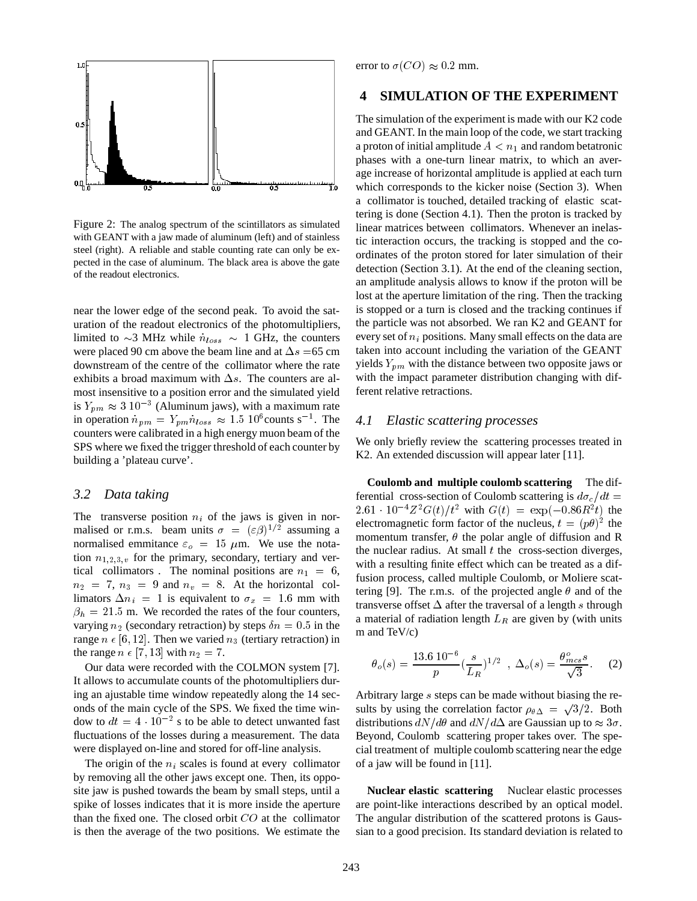

Figure 2: The analog spectrum of the scintillators as simulated with GEANT with a jaw made of aluminum (left) and of stainless steel (right). A reliable and stable counting rate can only be expected in the case of aluminum. The black area is above the gate of the readout electronics.

near the lower edge of the second peak. To avoid the saturation of the readout electronics of the photomultipliers, limited to  $\sim$ 3 MHz while  $\dot{n}_{loss} \sim 1$  GHz, the counters were placed 90 cm above the beam line and at  $\Delta s = 65$  cm downstream of the centre of the collimator where the rate exhibits a broad maximum with  $\Delta s$ . The counters are almost insensitive to a position error and the simulated yield is  $Y_{pm} \approx 3 \ 10^{-3}$  (Aluminum jaws), with a maximum rate in operation  $\dot{n}_{pm} = Y_{pm} \dot{n}_{loss} \approx 1.5 \, 10^6$  counts s<sup>-1</sup>. The counters were calibrated in a high energy muon beam of the SPS where we fixed the trigger threshold of each counter by building a 'plateau curve'.

#### *3.2 Data taking*

The transverse position  $n_i$  of the jaws is given in normalised or r.m.s. beam units  $\sigma = (\varepsilon \beta)^{1/2}$  assuming a normalised emmitance  $\varepsilon_o = 15 \mu m$ . We use the notation  $n_{1,2,3,v}$  for the primary, secondary, tertiary and vertical collimators. The nominal positions are  $n_1 = 6$ ,  $n_2 = 7$ ,  $n_3 = 9$  and  $n_v = 8$ . At the horizontal collimators  $\Delta n_i = 1$  is equivalent to  $\sigma_x = 1.6$  mm with  $\beta_h = 21.5$  m. We recorded the rates of the four counters, varying  $n_2$  (secondary retraction) by steps  $\delta n = 0.5$  in the range  $n \in [6, 12]$ . Then we varied  $n_3$  (tertiary retraction) in the range  $n \in [7, 13]$  with  $n_2 = 7$ .

Our data were recorded with the COLMON system [7]. It allows to accumulate counts of the photomultipliers during an ajustable time window repeatedly along the 14 seconds of the main cycle of the SPS. We fixed the time window to  $dt = 4 \cdot 10^{-2}$  s to be able to detect unwanted fast fluctuations of the losses during a measurement. The data were displayed on-line and stored for off-line analysis.

The origin of the  $n_i$  scales is found at every collimator by removing all the other jaws except one. Then, its opposite jaw is pushed towards the beam by small steps, until a spike of losses indicates that it is more inside the aperture than the fixed one. The closed orbit  $CO$  at the collimator is then the average of the two positions. We estimate the

error to  $\sigma(CO) \approx 0.2$  mm.

### **4 SIMULATION OF THE EXPERIMENT**

The simulation of the experiment is made with our K2 code and GEANT. In the main loop of the code, we start tracking a proton of initial amplitude  $A < n_1$  and random betatronic phases with a one-turn linear matrix, to which an average increase of horizontal amplitude is applied at each turn which corresponds to the kicker noise (Section 3). When a collimator is touched, detailed tracking of elastic scattering is done (Section 4.1). Then the proton is tracked by linear matrices between collimators. Whenever an inelastic interaction occurs, the tracking is stopped and the coordinates of the proton stored for later simulation of their detection (Section 3.1). At the end of the cleaning section, an amplitude analysis allows to know if the proton will be lost at the aperture limitation of the ring. Then the tracking is stopped or a turn is closed and the tracking continues if the particle was not absorbed. We ran K2 and GEANT for every set of  $n_i$  positions. Many small effects on the data are taken into account including the variation of the GEANT yields  $Y_{pm}$  with the distance between two opposite jaws or with the impact parameter distribution changing with different relative retractions.

#### *4.1 Elastic scattering processes*

We only briefly review the scattering processes treated in K2. An extended discussion will appear later [11].

**Coulomb and multiple coulomb scattering** The differential cross-section of Coulomb scattering is  $d\sigma_c/dt =$ 2.61  $10^{-4}Z^2G(t)/t^2$  with  $G(t) = \exp(-0.86R^2t)$  the electromagnetic form factor of the nucleus,  $t = (p\theta)^2$  the momentum transfer,  $\theta$  the polar angle of diffusion and R the nuclear radius. At small  $t$  the cross-section diverges, with a resulting finite effect which can be treated as a diffusion process, called multiple Coulomb, or Moliere scattering [9]. The r.m.s. of the projected angle  $\theta$  and of the transverse offset  $\Delta$  after the traversal of a length s through a material of radiation length  $L_R$  are given by (with units m and TeV/c)

$$
\theta_o(s) = \frac{13.6 \, 10^{-6}}{p} \left(\frac{s}{L_R}\right)^{1/2} , \ \Delta_o(s) = \frac{\theta_{mcs}^o s}{\sqrt{3}}. \tag{2}
$$

Arbitrary large s steps can be made without biasing the results by using the correlation factor  $\rho_{\theta \Delta} = \sqrt{3}/2$ . Both distributions  $dN/d\theta$  and  $dN/d\Delta$  are Gaussian up to  $\approx 3\sigma$ . Beyond, Coulomb scattering proper takes over. The special treatment of multiple coulomb scattering near the edge of a jaw will be found in [11].

**Nuclear elastic scattering** Nuclear elastic processes are point-like interactions described by an optical model. The angular distribution of the scattered protons is Gaussian to a good precision. Its standard deviation is related to